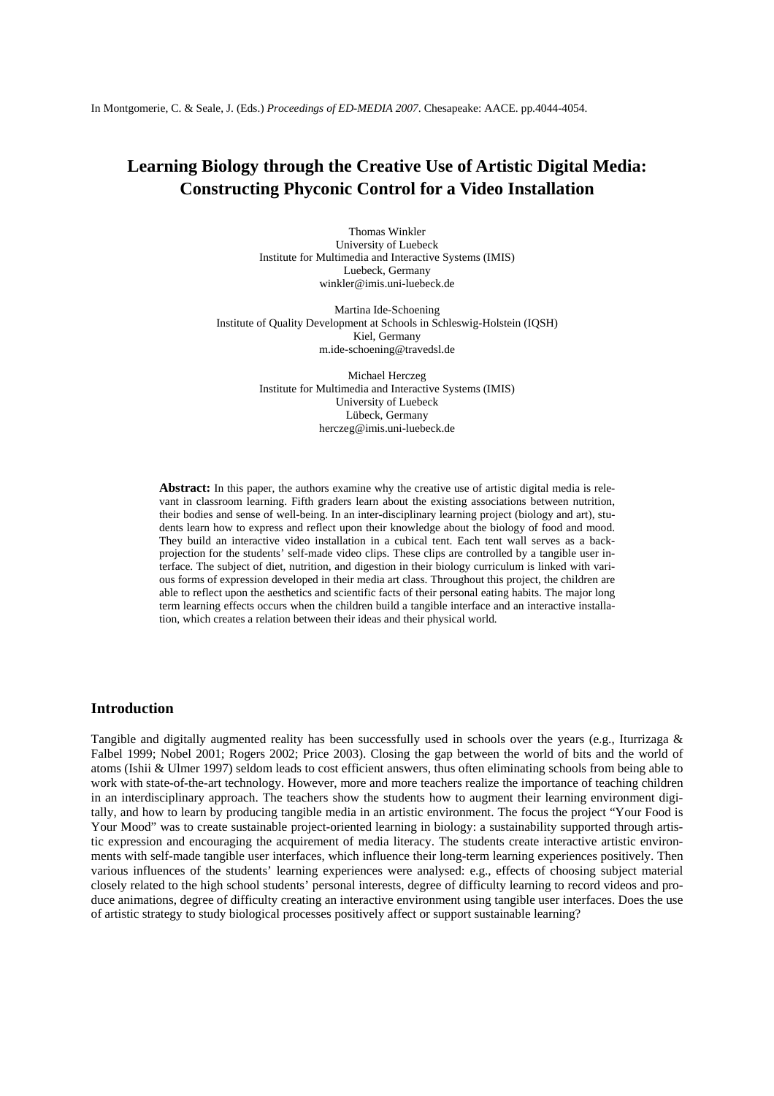# **Learning Biology through the Creative Use of Artistic Digital Media: Constructing Phyconic Control for a Video Installation**

Thomas Winkler University of Luebeck Institute for Multimedia and Interactive Systems (IMIS) Luebeck, Germany winkler@imis.uni-luebeck.de

Martina Ide-Schoening Institute of Quality Development at Schools in Schleswig-Holstein (IQSH) Kiel, Germany m.ide-schoening@travedsl.de

> Michael Herczeg Institute for Multimedia and Interactive Systems (IMIS) University of Luebeck Lübeck, Germany herczeg@imis.uni-luebeck.de

**Abstract:** In this paper, the authors examine why the creative use of artistic digital media is relevant in classroom learning. Fifth graders learn about the existing associations between nutrition, their bodies and sense of well-being. In an inter-disciplinary learning project (biology and art), students learn how to express and reflect upon their knowledge about the biology of food and mood. They build an interactive video installation in a cubical tent. Each tent wall serves as a backprojection for the students' self-made video clips. These clips are controlled by a tangible user interface. The subject of diet, nutrition, and digestion in their biology curriculum is linked with various forms of expression developed in their media art class. Throughout this project, the children are able to reflect upon the aesthetics and scientific facts of their personal eating habits. The major long term learning effects occurs when the children build a tangible interface and an interactive installation, which creates a relation between their ideas and their physical world*.*

# **Introduction**

Tangible and digitally augmented reality has been successfully used in schools over the years (e.g., Iturrizaga & Falbel 1999; Nobel 2001; Rogers 2002; Price 2003). Closing the gap between the world of bits and the world of atoms (Ishii & Ulmer 1997) seldom leads to cost efficient answers, thus often eliminating schools from being able to work with state-of-the-art technology. However, more and more teachers realize the importance of teaching children in an interdisciplinary approach. The teachers show the students how to augment their learning environment digitally, and how to learn by producing tangible media in an artistic environment. The focus the project "Your Food is Your Mood" was to create sustainable project-oriented learning in biology: a sustainability supported through artistic expression and encouraging the acquirement of media literacy. The students create interactive artistic environments with self-made tangible user interfaces, which influence their long-term learning experiences positively. Then various influences of the students' learning experiences were analysed: e.g., effects of choosing subject material closely related to the high school students' personal interests, degree of difficulty learning to record videos and produce animations, degree of difficulty creating an interactive environment using tangible user interfaces. Does the use of artistic strategy to study biological processes positively affect or support sustainable learning?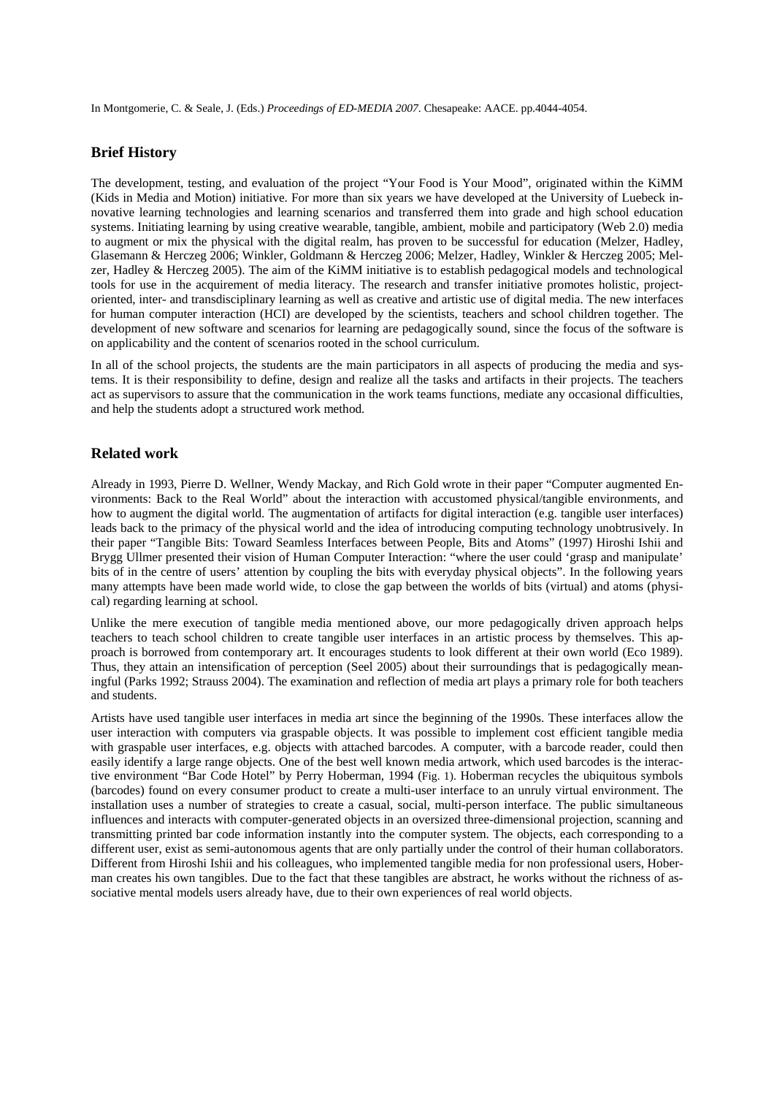# **Brief History**

The development, testing, and evaluation of the project "Your Food is Your Mood", originated within the KiMM (Kids in Media and Motion) initiative. For more than six years we have developed at the University of Luebeck innovative learning technologies and learning scenarios and transferred them into grade and high school education systems. Initiating learning by using creative wearable, tangible, ambient, mobile and participatory (Web 2.0) media to augment or mix the physical with the digital realm, has proven to be successful for education (Melzer, Hadley, Glasemann & Herczeg 2006; Winkler, Goldmann & Herczeg 2006; Melzer, Hadley, Winkler & Herczeg 2005; Melzer, Hadley & Herczeg 2005). The aim of the KiMM initiative is to establish pedagogical models and technological tools for use in the acquirement of media literacy. The research and transfer initiative promotes holistic, projectoriented, inter- and transdisciplinary learning as well as creative and artistic use of digital media. The new interfaces for human computer interaction (HCI) are developed by the scientists, teachers and school children together. The development of new software and scenarios for learning are pedagogically sound, since the focus of the software is on applicability and the content of scenarios rooted in the school curriculum.

In all of the school projects, the students are the main participators in all aspects of producing the media and systems. It is their responsibility to define, design and realize all the tasks and artifacts in their projects. The teachers act as supervisors to assure that the communication in the work teams functions, mediate any occasional difficulties, and help the students adopt a structured work method.

# **Related work**

Already in 1993, Pierre D. Wellner, Wendy Mackay, and Rich Gold wrote in their paper "Computer augmented Environments: Back to the Real World" about the interaction with accustomed physical/tangible environments, and how to augment the digital world. The augmentation of artifacts for digital interaction (e.g. tangible user interfaces) leads back to the primacy of the physical world and the idea of introducing computing technology unobtrusively. In their paper "Tangible Bits: Toward Seamless Interfaces between People, Bits and Atoms" (1997) Hiroshi Ishii and Brygg Ullmer presented their vision of Human Computer Interaction: "where the user could 'grasp and manipulate' bits of in the centre of users' attention by coupling the bits with everyday physical objects". In the following years many attempts have been made world wide, to close the gap between the worlds of bits (virtual) and atoms (physical) regarding learning at school.

Unlike the mere execution of tangible media mentioned above, our more pedagogically driven approach helps teachers to teach school children to create tangible user interfaces in an artistic process by themselves. This approach is borrowed from contemporary art. It encourages students to look different at their own world (Eco 1989). Thus, they attain an intensification of perception (Seel 2005) about their surroundings that is pedagogically meaningful (Parks 1992; Strauss 2004). The examination and reflection of media art plays a primary role for both teachers and students.

Artists have used tangible user interfaces in media art since the beginning of the 1990s. These interfaces allow the user interaction with computers via graspable objects. It was possible to implement cost efficient tangible media with graspable user interfaces, e.g. objects with attached barcodes. A computer, with a barcode reader, could then easily identify a large range objects. One of the best well known media artwork, which used barcodes is the interactive environment "Bar Code Hotel" by Perry Hoberman, 1994 (Fig. 1). Hoberman recycles the ubiquitous symbols (barcodes) found on every consumer product to create a multi-user interface to an unruly virtual environment. The installation uses a number of strategies to create a casual, social, multi-person interface. The public simultaneous influences and interacts with computer-generated objects in an oversized three-dimensional projection, scanning and transmitting printed bar code information instantly into the computer system. The objects, each corresponding to a different user, exist as semi-autonomous agents that are only partially under the control of their human collaborators. Different from Hiroshi Ishii and his colleagues, who implemented tangible media for non professional users, Hoberman creates his own tangibles. Due to the fact that these tangibles are abstract, he works without the richness of associative mental models users already have, due to their own experiences of real world objects.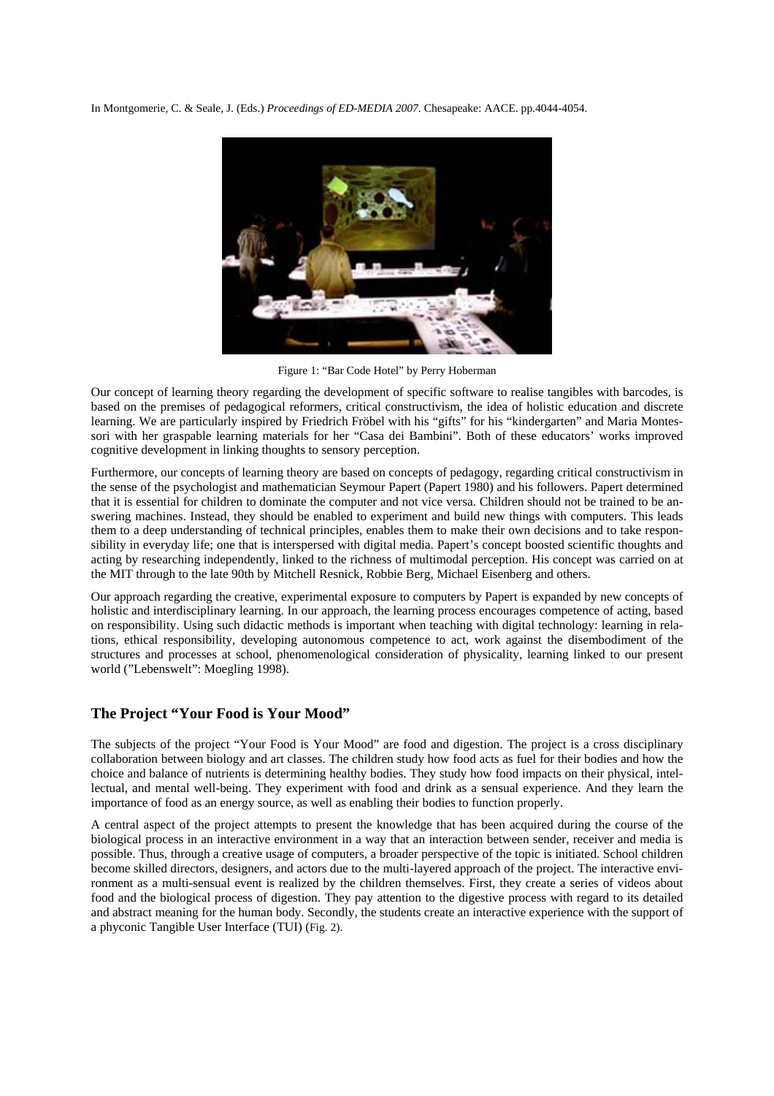

Figure 1: "Bar Code Hotel" by Perry Hoberman

Our concept of learning theory regarding the development of specific software to realise tangibles with barcodes, is based on the premises of pedagogical reformers, critical constructivism, the idea of holistic education and discrete learning. We are particularly inspired by Friedrich Fröbel with his "gifts" for his "kindergarten" and Maria Montessori with her graspable learning materials for her "Casa dei Bambini". Both of these educators' works improved cognitive development in linking thoughts to sensory perception.

Furthermore, our concepts of learning theory are based on concepts of pedagogy, regarding critical constructivism in the sense of the psychologist and mathematician Seymour Papert (Papert 1980) and his followers. Papert determined that it is essential for children to dominate the computer and not vice versa. Children should not be trained to be answering machines. Instead, they should be enabled to experiment and build new things with computers. This leads them to a deep understanding of technical principles, enables them to make their own decisions and to take responsibility in everyday life; one that is interspersed with digital media. Papert's concept boosted scientific thoughts and acting by researching independently, linked to the richness of multimodal perception. His concept was carried on at the MIT through to the late 90th by Mitchell Resnick, Robbie Berg, Michael Eisenberg and others.

Our approach regarding the creative, experimental exposure to computers by Papert is expanded by new concepts of holistic and interdisciplinary learning. In our approach, the learning process encourages competence of acting, based on responsibility. Using such didactic methods is important when teaching with digital technology: learning in relations, ethical responsibility, developing autonomous competence to act, work against the disembodiment of the structures and processes at school, phenomenological consideration of physicality, learning linked to our present world ("Lebenswelt": Moegling 1998).

## **The Project "Your Food is Your Mood"**

The subjects of the project "Your Food is Your Mood" are food and digestion. The project is a cross disciplinary collaboration between biology and art classes. The children study how food acts as fuel for their bodies and how the choice and balance of nutrients is determining healthy bodies. They study how food impacts on their physical, intellectual, and mental well-being. They experiment with food and drink as a sensual experience. And they learn the importance of food as an energy source, as well as enabling their bodies to function properly.

A central aspect of the project attempts to present the knowledge that has been acquired during the course of the biological process in an interactive environment in a way that an interaction between sender, receiver and media is possible. Thus, through a creative usage of computers, a broader perspective of the topic is initiated. School children become skilled directors, designers, and actors due to the multi-layered approach of the project. The interactive environment as a multi-sensual event is realized by the children themselves. First, they create a series of videos about food and the biological process of digestion. They pay attention to the digestive process with regard to its detailed and abstract meaning for the human body. Secondly, the students create an interactive experience with the support of a phyconic Tangible User Interface (TUI) (Fig. 2).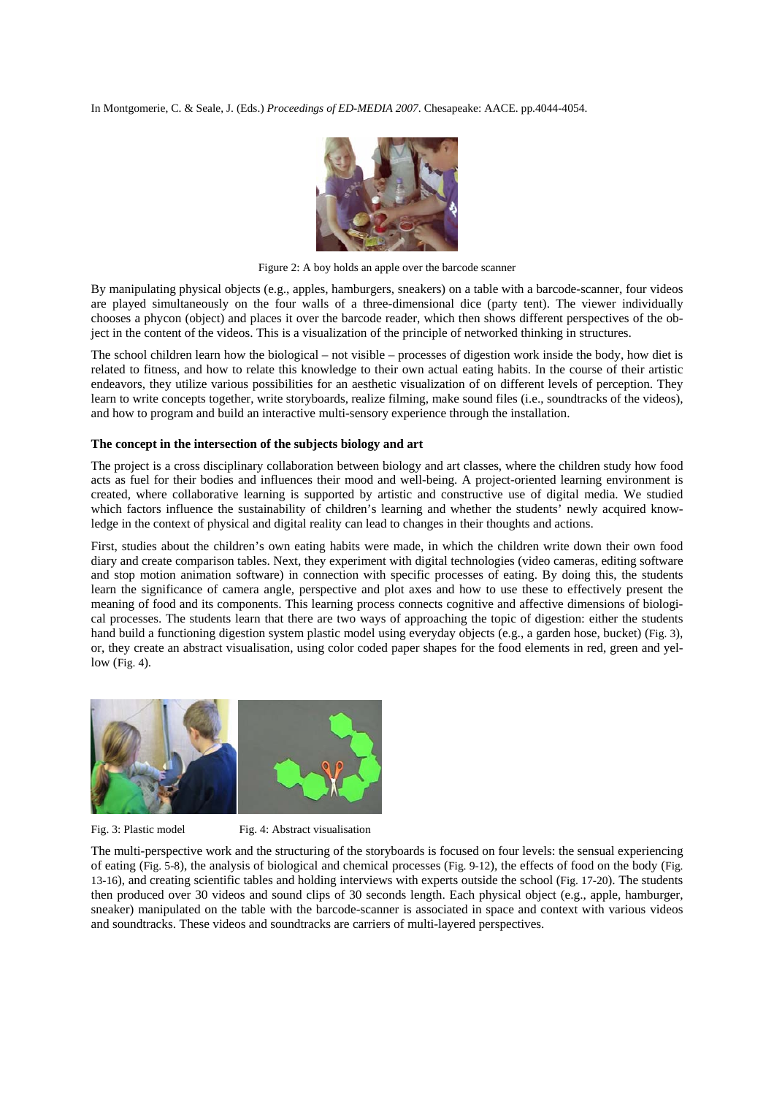

Figure 2: A boy holds an apple over the barcode scanner

By manipulating physical objects (e.g., apples, hamburgers, sneakers) on a table with a barcode-scanner, four videos are played simultaneously on the four walls of a three-dimensional dice (party tent). The viewer individually chooses a phycon (object) and places it over the barcode reader, which then shows different perspectives of the object in the content of the videos. This is a visualization of the principle of networked thinking in structures.

The school children learn how the biological – not visible – processes of digestion work inside the body, how diet is related to fitness, and how to relate this knowledge to their own actual eating habits. In the course of their artistic endeavors, they utilize various possibilities for an aesthetic visualization of on different levels of perception. They learn to write concepts together, write storyboards, realize filming, make sound files (i.e., soundtracks of the videos), and how to program and build an interactive multi-sensory experience through the installation.

#### **The concept in the intersection of the subjects biology and art**

The project is a cross disciplinary collaboration between biology and art classes, where the children study how food acts as fuel for their bodies and influences their mood and well-being. A project-oriented learning environment is created, where collaborative learning is supported by artistic and constructive use of digital media. We studied which factors influence the sustainability of children's learning and whether the students' newly acquired knowledge in the context of physical and digital reality can lead to changes in their thoughts and actions.

First, studies about the children's own eating habits were made, in which the children write down their own food diary and create comparison tables. Next, they experiment with digital technologies (video cameras, editing software and stop motion animation software) in connection with specific processes of eating. By doing this, the students learn the significance of camera angle, perspective and plot axes and how to use these to effectively present the meaning of food and its components. This learning process connects cognitive and affective dimensions of biological processes. The students learn that there are two ways of approaching the topic of digestion: either the students hand build a functioning digestion system plastic model using everyday objects (e.g., a garden hose, bucket) (Fig. 3), or, they create an abstract visualisation, using color coded paper shapes for the food elements in red, green and yellow (Fig. 4).



Fig. 3: Plastic model Fig. 4: Abstract visualisation

The multi-perspective work and the structuring of the storyboards is focused on four levels: the sensual experiencing of eating (Fig. 5-8), the analysis of biological and chemical processes (Fig. 9-12), the effects of food on the body (Fig. 13-16), and creating scientific tables and holding interviews with experts outside the school (Fig. 17-20). The students then produced over 30 videos and sound clips of 30 seconds length. Each physical object (e.g., apple, hamburger, sneaker) manipulated on the table with the barcode-scanner is associated in space and context with various videos and soundtracks. These videos and soundtracks are carriers of multi-layered perspectives.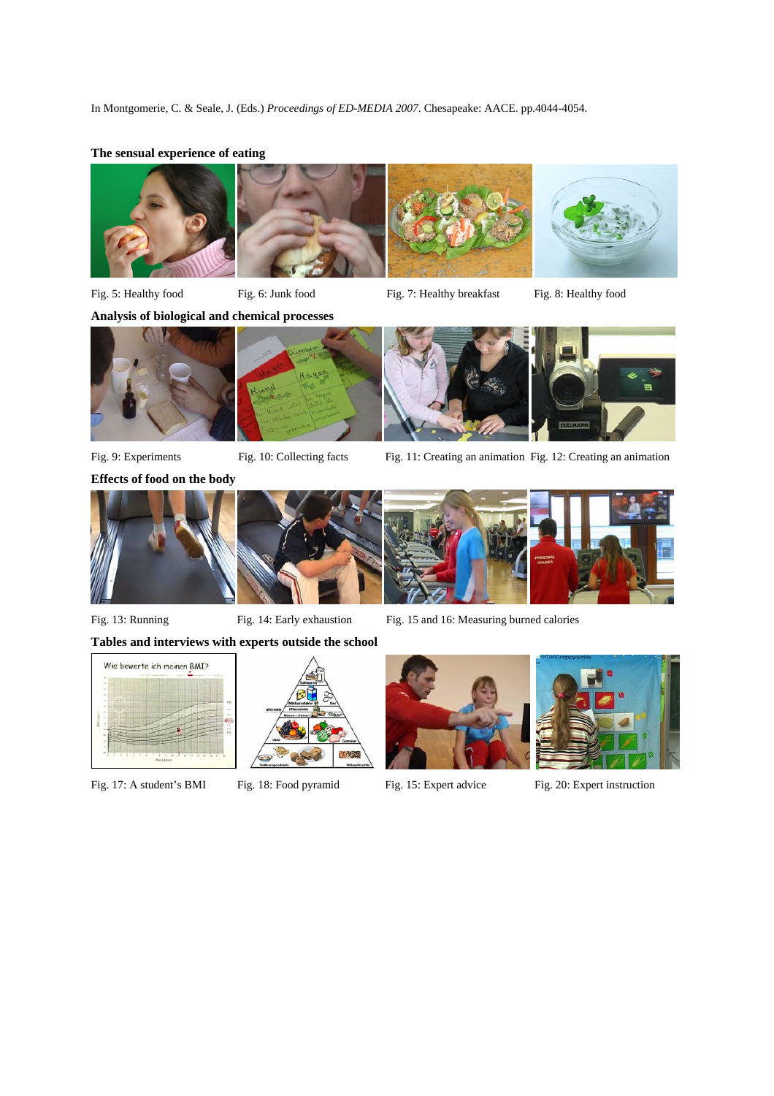## **The sensual experience of eating**









Fig. 5: Healthy food Fig. 6: Junk food Fig. 7: Healthy breakfast Fig. 8: Healthy food



**Effects of food on the body** 





Fig. 9: Experiments Fig. 10: Collecting facts Fig. 11: Creating an animation Fig. 12: Creating an animation







Fig. 13: Running Fig. 14: Early exhaustion Fig. 15 and 16: Measuring burned calories

# **Tables and interviews with experts outside the school**

I









Fig. 17: A student's BMI Fig. 18: Food pyramid Fig. 15: Expert advice Fig. 20: Expert instruction



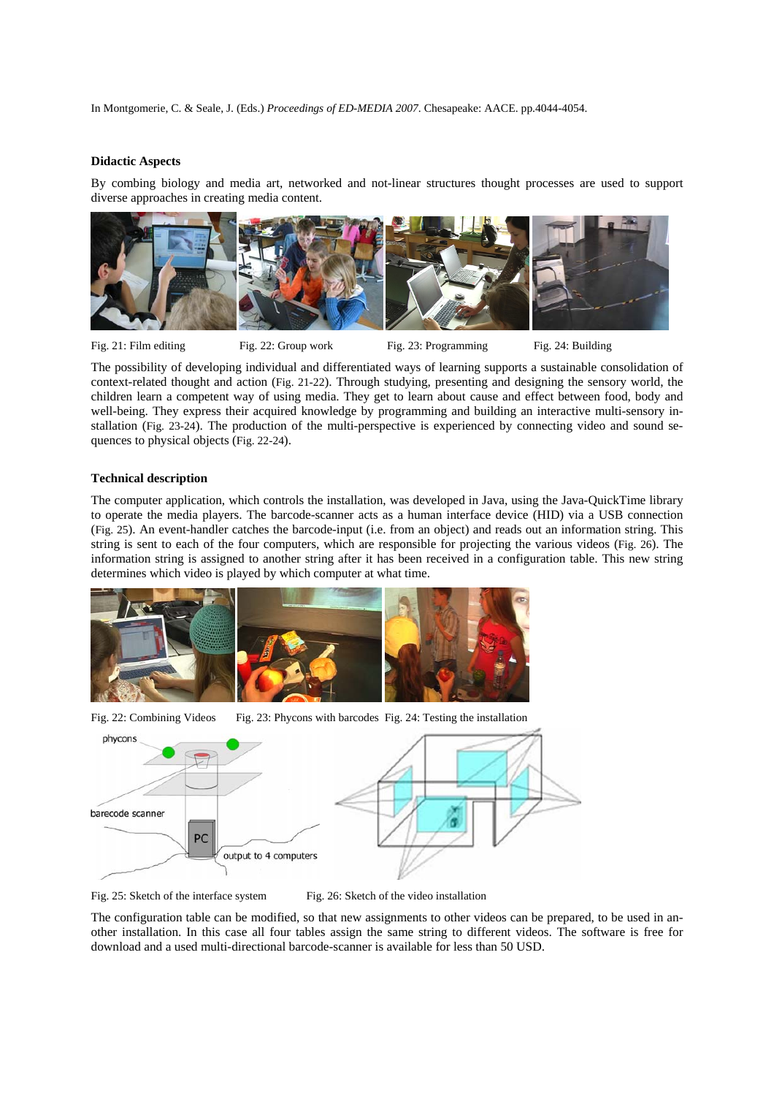#### **Didactic Aspects**

By combing biology and media art, networked and not-linear structures thought processes are used to support diverse approaches in creating media content.



Fig. 21: Film editing Fig. 22: Group work Fig. 23: Programming Fig. 24: Building

The possibility of developing individual and differentiated ways of learning supports a sustainable consolidation of context-related thought and action (Fig. 21-22). Through studying, presenting and designing the sensory world, the children learn a competent way of using media. They get to learn about cause and effect between food, body and well-being. They express their acquired knowledge by programming and building an interactive multi-sensory installation (Fig. 23-24). The production of the multi-perspective is experienced by connecting video and sound sequences to physical objects (Fig. 22-24).

#### **Technical description**

The computer application, which controls the installation, was developed in Java, using the Java-QuickTime library to operate the media players. The barcode-scanner acts as a human interface device (HID) via a USB connection (Fig. 25). An event-handler catches the barcode-input (i.e. from an object) and reads out an information string. This string is sent to each of the four computers, which are responsible for projecting the various videos (Fig. 26). The information string is assigned to another string after it has been received in a configuration table. This new string determines which video is played by which computer at what time.



Fig. 22: Combining Videos Fig. 23: Phycons with barcodes Fig. 24: Testing the installation



Fig. 25: Sketch of the interface system Fig. 26: Sketch of the video installation

The configuration table can be modified, so that new assignments to other videos can be prepared, to be used in another installation. In this case all four tables assign the same string to different videos. The software is free for download and a used multi-directional barcode-scanner is available for less than 50 USD.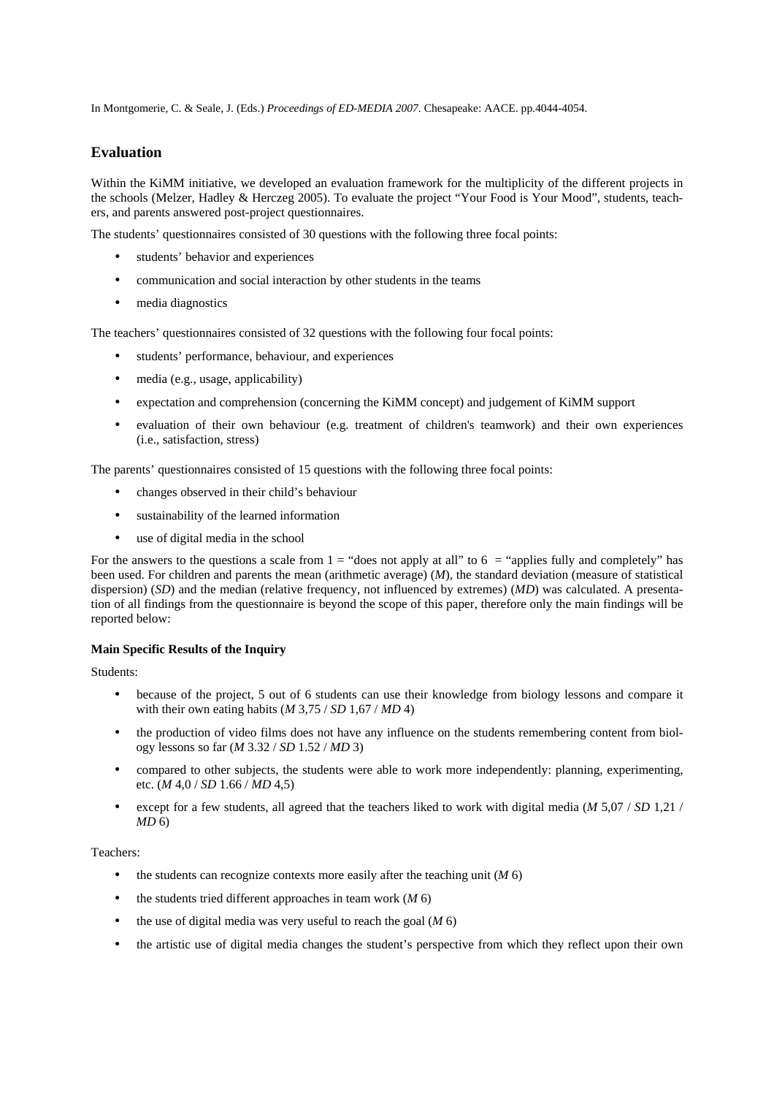# **Evaluation**

Within the KiMM initiative, we developed an evaluation framework for the multiplicity of the different projects in the schools (Melzer, Hadley & Herczeg 2005). To evaluate the project "Your Food is Your Mood", students, teachers, and parents answered post-project questionnaires.

The students' questionnaires consisted of 30 questions with the following three focal points:

- students' behavior and experiences
- communication and social interaction by other students in the teams
- media diagnostics

The teachers' questionnaires consisted of 32 questions with the following four focal points:

- students' performance, behaviour, and experiences
- media (e.g., usage, applicability)
- expectation and comprehension (concerning the KiMM concept) and judgement of KiMM support
- evaluation of their own behaviour (e.g. treatment of children's teamwork) and their own experiences (i.e., satisfaction, stress)

The parents' questionnaires consisted of 15 questions with the following three focal points:

- changes observed in their child's behaviour
- sustainability of the learned information
- use of digital media in the school

For the answers to the questions a scale from  $1 =$  "does not apply at all" to  $6 =$  "applies fully and completely" has been used. For children and parents the mean (arithmetic average) (*M*), the standard deviation (measure of statistical dispersion) (*SD*) and the median (relative frequency, not influenced by extremes) (*MD*) was calculated. A presentation of all findings from the questionnaire is beyond the scope of this paper, therefore only the main findings will be reported below:

## **Main Specific Results of the Inquiry**

#### Students:

- because of the project, 5 out of 6 students can use their knowledge from biology lessons and compare it with their own eating habits (*M* 3,75 / *SD* 1,67 / *MD* 4)
- the production of video films does not have any influence on the students remembering content from biology lessons so far (*M* 3.32 / *SD* 1.52 / *MD* 3)
- compared to other subjects, the students were able to work more independently: planning, experimenting, etc. (*M* 4,0 / *SD* 1.66 / *MD* 4,5)
- except for a few students, all agreed that the teachers liked to work with digital media (*M* 5,07 / *SD* 1,21 / *MD* 6)

# Teachers:

- the students can recognize contexts more easily after the teaching unit  $(M\ 6)$
- the students tried different approaches in team work (*M* 6)
- the use of digital media was very useful to reach the goal (*M* 6)
- the artistic use of digital media changes the student's perspective from which they reflect upon their own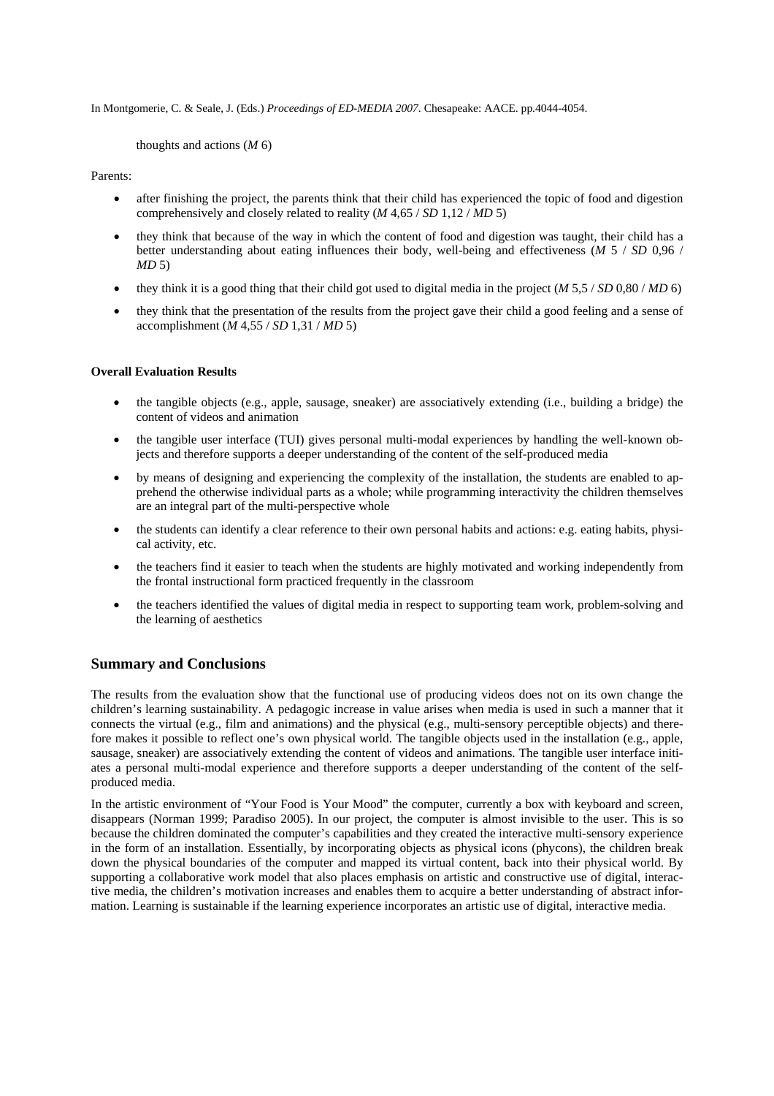thoughts and actions (*M* 6)

Parents:

- after finishing the project, the parents think that their child has experienced the topic of food and digestion comprehensively and closely related to reality (*M* 4,65 / *SD* 1,12 / *MD* 5)
- they think that because of the way in which the content of food and digestion was taught, their child has a better understanding about eating influences their body, well-being and effectiveness (*M* 5 / *SD* 0,96 / *MD* 5)
- they think it is a good thing that their child got used to digital media in the project (*M* 5,5 / *SD* 0,80 / *MD* 6)
- they think that the presentation of the results from the project gave their child a good feeling and a sense of accomplishment (*M* 4,55 / *SD* 1,31 / *MD* 5)

# **Overall Evaluation Results**

- the tangible objects (e.g., apple, sausage, sneaker) are associatively extending (i.e., building a bridge) the content of videos and animation
- the tangible user interface (TUI) gives personal multi-modal experiences by handling the well-known objects and therefore supports a deeper understanding of the content of the self-produced media
- by means of designing and experiencing the complexity of the installation, the students are enabled to apprehend the otherwise individual parts as a whole; while programming interactivity the children themselves are an integral part of the multi-perspective whole
- the students can identify a clear reference to their own personal habits and actions: e.g. eating habits, physical activity, etc.
- the teachers find it easier to teach when the students are highly motivated and working independently from the frontal instructional form practiced frequently in the classroom
- the teachers identified the values of digital media in respect to supporting team work, problem-solving and the learning of aesthetics

# **Summary and Conclusions**

The results from the evaluation show that the functional use of producing videos does not on its own change the children's learning sustainability. A pedagogic increase in value arises when media is used in such a manner that it connects the virtual (e.g., film and animations) and the physical (e.g., multi-sensory perceptible objects) and therefore makes it possible to reflect one's own physical world. The tangible objects used in the installation (e.g., apple, sausage, sneaker) are associatively extending the content of videos and animations. The tangible user interface initiates a personal multi-modal experience and therefore supports a deeper understanding of the content of the selfproduced media.

In the artistic environment of "Your Food is Your Mood" the computer, currently a box with keyboard and screen, disappears (Norman 1999; Paradiso 2005). In our project, the computer is almost invisible to the user. This is so because the children dominated the computer's capabilities and they created the interactive multi-sensory experience in the form of an installation. Essentially, by incorporating objects as physical icons (phycons), the children break down the physical boundaries of the computer and mapped its virtual content, back into their physical world. By supporting a collaborative work model that also places emphasis on artistic and constructive use of digital, interactive media, the children's motivation increases and enables them to acquire a better understanding of abstract information. Learning is sustainable if the learning experience incorporates an artistic use of digital, interactive media.